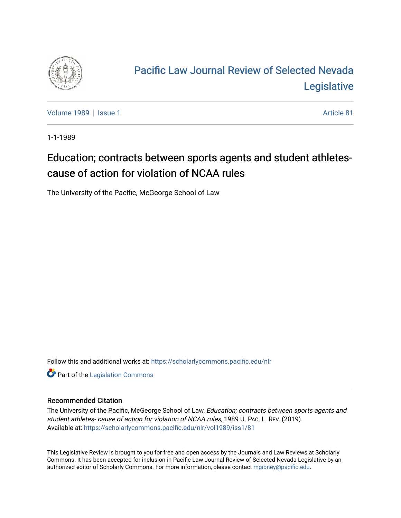

# [Pacific Law Journal Review of Selected Nevada](https://scholarlycommons.pacific.edu/nlr)  [Legislative](https://scholarlycommons.pacific.edu/nlr)

[Volume 1989](https://scholarlycommons.pacific.edu/nlr/vol1989) | [Issue 1](https://scholarlycommons.pacific.edu/nlr/vol1989/iss1) Article 81

1-1-1989

# Education; contracts between sports agents and student athletescause of action for violation of NCAA rules

The University of the Pacific, McGeorge School of Law

Follow this and additional works at: [https://scholarlycommons.pacific.edu/nlr](https://scholarlycommons.pacific.edu/nlr?utm_source=scholarlycommons.pacific.edu%2Fnlr%2Fvol1989%2Fiss1%2F81&utm_medium=PDF&utm_campaign=PDFCoverPages) 

**Part of the [Legislation Commons](http://network.bepress.com/hgg/discipline/859?utm_source=scholarlycommons.pacific.edu%2Fnlr%2Fvol1989%2Fiss1%2F81&utm_medium=PDF&utm_campaign=PDFCoverPages)** 

### Recommended Citation

The University of the Pacific, McGeorge School of Law, Education; contracts between sports agents and student athletes- cause of action for violation of NCAA rules, 1989 U. PAC. L. REV. (2019). Available at: [https://scholarlycommons.pacific.edu/nlr/vol1989/iss1/81](https://scholarlycommons.pacific.edu/nlr/vol1989/iss1/81?utm_source=scholarlycommons.pacific.edu%2Fnlr%2Fvol1989%2Fiss1%2F81&utm_medium=PDF&utm_campaign=PDFCoverPages)

This Legislative Review is brought to you for free and open access by the Journals and Law Reviews at Scholarly Commons. It has been accepted for inclusion in Pacific Law Journal Review of Selected Nevada Legislative by an authorized editor of Scholarly Commons. For more information, please contact [mgibney@pacific.edu](mailto:mgibney@pacific.edu).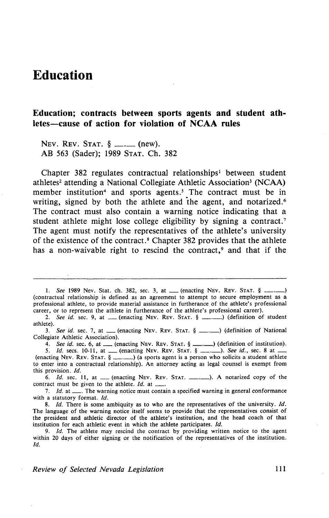## **Education**

## **Education; contracts between sports agents and student athletes-cause of action for violation of NCAA rules**

NEV. REV. STAT.  $\S$  \_\_\_\_\_ (new). AB 563 (Sader); 1989 STAT. Ch. 382

Chapter 382 regulates contractual relationships<sup>1</sup> between student athletes<sup>2</sup> attending a National Collegiate Athletic Association<sup>3</sup> (NCAA) member institution<sup>4</sup> and sports agents.<sup>5</sup> The contract must be in writing, signed by both the athlete and the agent, and notarized.<sup>6</sup> The contract must also contain a warning notice indicating that a student athlete might lose college eligibility by signing a contract.<sup>7</sup> The agent must notify the representatives of the athlete's university of the existence of the contract. 8 Chapter 382 provides that the athlete has a non-waivable right to rescind the contract,<sup>9</sup> and that if the

2. See id. sec. 9, at \_\_ (enacting NEV. REV. STAT. § \_\_\_\_\_\_) (definition of student athlete).

3. See id. sec. 7, at \_\_ (enacting NEV. REV. STAT. § \_\_\_. ) (definition of National Collegiate Athletic Association).

4. *See id.* sec. 6, at \_\_ (enacting NEV. REV. STAT. § \_\_\_\_\_) (definition of institution).

5. *Id.* secs. 10-11, at \_\_ (enacting NEV. REV. STAT. § \_\_\_.\_\_). *See id.*, sec. 8 at \_ (enacting Nev. Rev. Stat.  $\S_{\text{max}}$ ) (a sports agent is a person who solicits a student athlete to enter into a contractual relationship). An attorney acting as legal counsel is exempt from this provision. */d.* 

this provision. *Id.*<br>6. *Id.* sec. 11, at <u>equal tenacting NEV.</u> REV. STAT. <u>\_\_\_</u>,  $\Box$ ). A notarized copy of the contract must be given to the athlete. *Id.* at  $\Box$  $\frac{1}{2}$  contract must be given to the athlete. *Id.* at  $\frac{1}{2}$ .<br>7. *Id.* at  $\frac{1}{2}$ . The warning notice must contain a specified warning in general conformance

with a statutory format. *Id.* 

8. *!d.* There is some ambiquity as to who are the representatives of the university. *!d.*  The language of the warning notice itself seems to provide that the representatives consist of the president and athletic director of the athlete's institution, and the head coach of that institution for each athletic event in which the athlete participates. *!d.* 

9. *!d.* The athlete may rescind the contract by providing written notice to the agent within 20 days of either signing or the notification of the representatives of the institution. *!d.* 

<sup>1.</sup> *See* 1989 Nev. Stat. ch. 382, sec. 3, at \_\_ (enacting NEV. REV. STAT. § \_ (contractual relationship is defined as an agreement to attempt to secure employment as a professional athlete, to provide material assistance in furtherance of the athlete's professional career, or to represent the athlete in furtherance of the athlete's professional career).